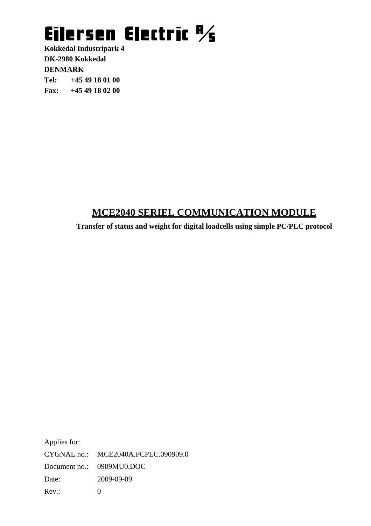**Kokkedal Industripark 4 DK-2980 Kokkedal DENMARK Tel: +45 49 18 01 00 Fax: +45 49 18 02 00**

### **MCE2040 SERIEL COMMUNICATION MODULE**

**Transfer of status and weight for digital loadcells using simple PC/PLC protocol** 

Applies for: CYGNAL no.: MCE2040A.PCPLC.090909.0 Document no.: 0909MU0.DOC Date: 2009-09-09 Rev.: 0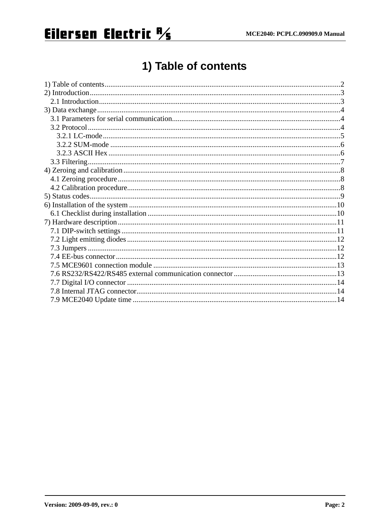## 1) Table of contents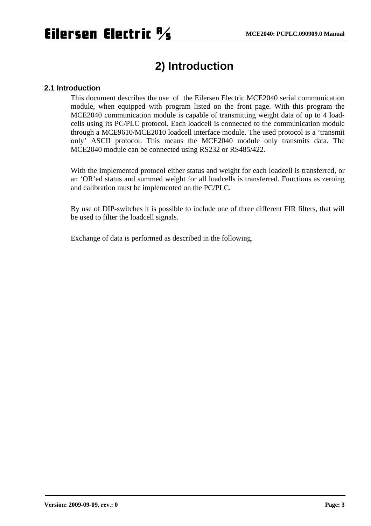### **2) Introduction**

#### **2.1 Introduction**

This document describes the use of the Eilersen Electric MCE2040 serial communication module, when equipped with program listed on the front page. With this program the MCE2040 communication module is capable of transmitting weight data of up to 4 loadcells using its PC/PLC protocol. Each loadcell is connected to the communication module through a MCE9610/MCE2010 loadcell interface module. The used protocol is a 'transmit only' ASCII protocol. This means the MCE2040 module only transmits data. The MCE2040 module can be connected using RS232 or RS485/422.

With the implemented protocol either status and weight for each loadcell is transferred, or an 'OR'ed status and summed weight for all loadcells is transferred. Functions as zeroing and calibration must be implemented on the PC/PLC.

By use of DIP-switches it is possible to include one of three different FIR filters, that will be used to filter the loadcell signals.

Exchange of data is performed as described in the following.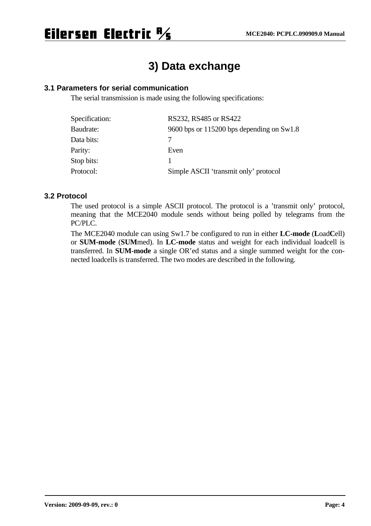## **3) Data exchange**

### **3.1 Parameters for serial communication**

The serial transmission is made using the following specifications:

| Specification: | RS232, RS485 or RS422                       |
|----------------|---------------------------------------------|
| Baudrate:      | 9600 bps or 115200 bps depending on $Sw1.8$ |
| Data bits:     |                                             |
| Parity:        | Even                                        |
| Stop bits:     |                                             |
| Protocol:      | Simple ASCII 'transmit only' protocol       |

#### **3.2 Protocol**

The used protocol is a simple ASCII protocol. The protocol is a 'transmit only' protocol, meaning that the MCE2040 module sends without being polled by telegrams from the PC/PLC.

The MCE2040 module can using Sw1.7 be configured to run in either **LC-mode** (**L**oad**C**ell) or **SUM-mode** (**SUM**med). In **LC-mode** status and weight for each individual loadcell is transferred. In **SUM-mode** a single OR'ed status and a single summed weight for the connected loadcells is transferred. The two modes are described in the following.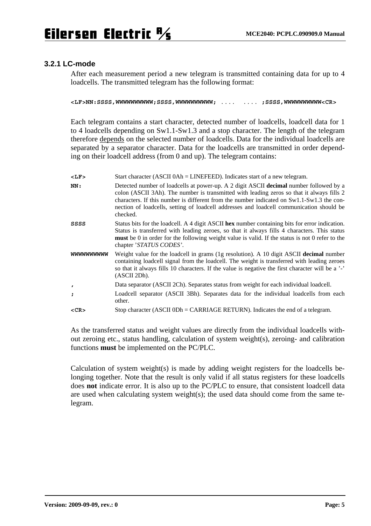### **3.2.1 LC-mode**

After each measurement period a new telegram is transmitted containing data for up to 4 loadcells. The transmitted telegram has the following format:

**<LF>NN:SSSS,WWWWWWWWWW;SSSS,WWWWWWWWWW;** .... .... **;SSSS,WWWWWWWWWW<CR>** 

Each telegram contains a start character, detected number of loadcells, loadcell data for 1 to 4 loadcells depending on Sw1.1-Sw1.3 and a stop character. The length of the telegram therefore depends on the selected number of loadcells. Data for the individual loadcells are separated by a separator character. Data for the loadcells are transmitted in order depending on their loadcell address (from 0 and up). The telegram contains:

| $<$ LF>          | Start character (ASCII 0Ah = LINEFEED). Indicates start of a new telegram.                                                                                                                                                                                                                                                                                                                 |
|------------------|--------------------------------------------------------------------------------------------------------------------------------------------------------------------------------------------------------------------------------------------------------------------------------------------------------------------------------------------------------------------------------------------|
| NN:              | Detected number of loadcells at power-up. A 2 digit ASCII decimal number followed by a<br>colon (ASCII 3Ah). The number is transmitted with leading zeros so that it always fills 2<br>characters. If this number is different from the number indicated on $Sw1.1-Sw1.3$ the con-<br>nection of loadcells, setting of loadcell addresses and loadcell communication should be<br>checked. |
| SSSS             | Status bits for the loadcell. A 4 digit ASCII hex number containing bits for error indication.<br>Status is transferred with leading zeroes, so that it always fills 4 characters. This status<br><b>must</b> be 0 in order for the following weight value is valid. If the status is not 0 refer to the<br>chapter 'STATUS CODES'.                                                        |
| <b>WWWWWWWWW</b> | Weight value for the loadcell in grams (1g resolution). A 10 digit ASCII decimal number<br>containing loadcell signal from the loadcell. The weight is transferred with leading zeroes<br>so that it always fills 10 characters. If the value is negative the first character will be a '-'<br>(ASCII 2Dh).                                                                                |
| $\pmb{r}$        | Data separator (ASCII 2Ch). Separates status from weight for each individual loadcell.                                                                                                                                                                                                                                                                                                     |
| ÷                | Loadcell separator (ASCII 3Bh). Separates data for the individual loadcells from each<br>other.                                                                                                                                                                                                                                                                                            |
| $<$ CR $>$       | Stop character (ASCII 0Dh = CARRIAGE RETURN). Indicates the end of a telegram.                                                                                                                                                                                                                                                                                                             |

As the transferred status and weight values are directly from the individual loadcells without zeroing etc., status handling, calculation of system weight(s), zeroing- and calibration functions **must** be implemented on the PC/PLC.

Calculation of system weight(s) is made by adding weight registers for the loadcells belonging together. Note that the result is only valid if all status registers for these loadcells does **not** indicate error. It is also up to the PC/PLC to ensure, that consistent loadcell data are used when calculating system weight(s); the used data should come from the same telegram.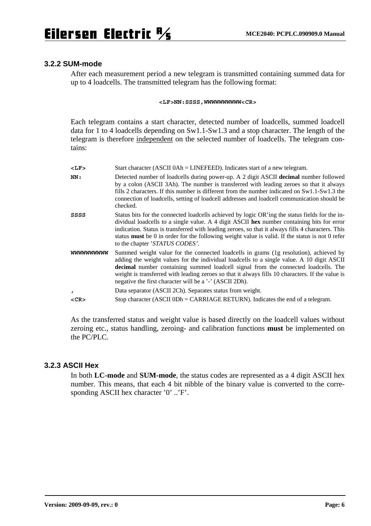#### **3.2.2 SUM-mode**

After each measurement period a new telegram is transmitted containing summed data for up to 4 loadcells. The transmitted telegram has the following format:

**<LF>NN:SSSS,WWWWWWWWWW<CR>** 

Each telegram contains a start character, detected number of loadcells, summed loadcell data for 1 to 4 loadcells depending on Sw1.1-Sw1.3 and a stop character. The length of the telegram is therefore independent on the selected number of loadcells. The telegram contains:

| $<$ LF>      | Start character (ASCII 0Ah = LINEFEED). Indicates start of a new telegram.                                                                                                                                                                                                                                                                                                                                                                    |
|--------------|-----------------------------------------------------------------------------------------------------------------------------------------------------------------------------------------------------------------------------------------------------------------------------------------------------------------------------------------------------------------------------------------------------------------------------------------------|
| NN:          | Detected number of loadcells during power-up. A 2 digit ASCII decimal number followed<br>by a colon (ASCII 3Ah). The number is transferred with leading zeroes so that it always<br>fills 2 characters. If this number is different from the number indicated on $Sw1.1-Sw1.3$ the<br>connection of loadcells, setting of loadcell addresses and loadcell communication should be<br>checked.                                                 |
| SSSS         | Status bits for the connected loadcells achieved by logic OR'ing the status fields for the in-<br>dividual loadcells to a single value. A 4 digit ASCII hex number containing bits for error<br>indication. Status is transferred with leading zeroes, so that it always fills 4 characters. This<br>status <b>must</b> be 0 in order for the following weight value is valid. If the status is not 0 refer<br>to the chapter 'STATUS CODES'. |
| wwwwwwww     | Summed weight value for the connected loadcells in grams (1g resolution), achieved by<br>adding the weight values for the individual loadcells to a single value. A 10 digit ASCII<br>decimal number containing summed loadcell signal from the connected loadcells. The<br>weight is transferred with leading zeroes so that it always fills 10 characters. If the value is<br>negative the first character will be a '-' (ASCII 2Dh).       |
| $\mathbf{r}$ | Data separator (ASCII 2Ch). Separates status from weight.                                                                                                                                                                                                                                                                                                                                                                                     |
| $<$ CR $>$   | Stop character (ASCII 0Dh = CARRIAGE RETURN). Indicates the end of a telegram.                                                                                                                                                                                                                                                                                                                                                                |

As the transferred status and weight value is based directly on the loadcell values without zeroing etc., status handling, zeroing- and calibration functions **must** be implemented on the PC/PLC.

### **3.2.3 ASCII Hex**

In both **LC-mode** and **SUM-mode**, the status codes are represented as a 4 digit ASCII hex number. This means, that each 4 bit nibble of the binary value is converted to the corresponding ASCII hex character '0' ..'F'.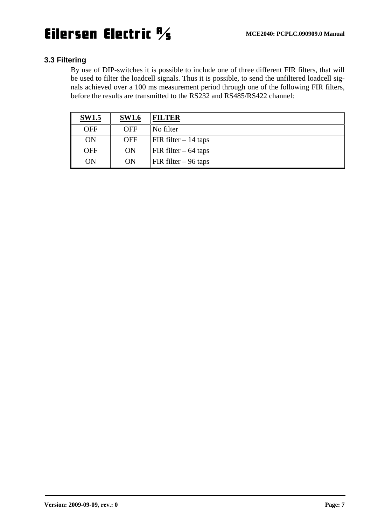### **3.3 Filtering**

By use of DIP-switches it is possible to include one of three different FIR filters, that will be used to filter the loadcell signals. Thus it is possible, to send the unfiltered loadcell signals achieved over a 100 ms measurement period through one of the following FIR filters, before the results are transmitted to the RS232 and RS485/RS422 channel:

| <b>SW1.5</b> | <b>SW1.6</b> | <b>FILTER</b>                             |
|--------------|--------------|-------------------------------------------|
| <b>OFF</b>   | <b>OFF</b>   | No filter                                 |
| ON           | <b>OFF</b>   | $\overline{\text{FIR}}$ filter $-14$ taps |
| <b>OFF</b>   | <b>ON</b>    | FIR filter $-64$ taps                     |
| ON           | <b>ON</b>    | FIR filter $-96$ taps                     |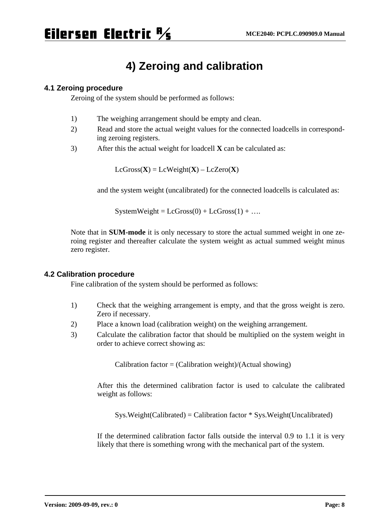### **4) Zeroing and calibration**

### **4.1 Zeroing procedure**

Zeroing of the system should be performed as follows:

- 1) The weighing arrangement should be empty and clean.
- 2) Read and store the actual weight values for the connected loadcells in corresponding zeroing registers.
- 3) After this the actual weight for loadcell **X** can be calculated as:

 $LcGross(X) = LcWeight(X) - LcZero(X)$ 

and the system weight (uncalibrated) for the connected loadcells is calculated as:

 $SystemWeight = LcGross(0) + LcGross(1) + ...$ 

Note that in **SUM-mode** it is only necessary to store the actual summed weight in one zeroing register and thereafter calculate the system weight as actual summed weight minus zero register.

### **4.2 Calibration procedure**

Fine calibration of the system should be performed as follows:

- 1) Check that the weighing arrangement is empty, and that the gross weight is zero. Zero if necessary.
- 2) Place a known load (calibration weight) on the weighing arrangement.
- 3) Calculate the calibration factor that should be multiplied on the system weight in order to achieve correct showing as:

 $Calibration factor = (Calibration weight)/(Actual showing)$ 

After this the determined calibration factor is used to calculate the calibrated weight as follows:

 $Sys. Weight(Calibrated) = California factor * Sys. Weight(Uncalibrated)$ 

If the determined calibration factor falls outside the interval 0.9 to 1.1 it is very likely that there is something wrong with the mechanical part of the system.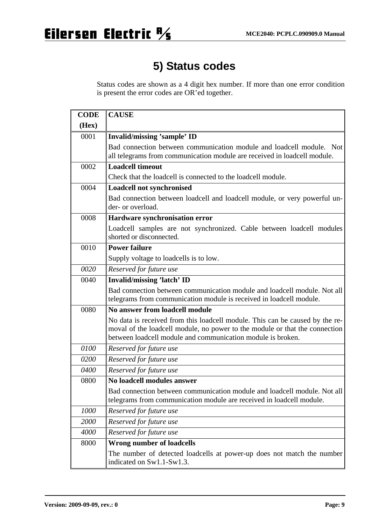## **5) Status codes**

Status codes are shown as a 4 digit hex number. If more than one error condition is present the error codes are OR'ed together.

| <b>CODE</b> | <b>CAUSE</b>                                                                                                                                                                                                               |
|-------------|----------------------------------------------------------------------------------------------------------------------------------------------------------------------------------------------------------------------------|
| (Hex)       |                                                                                                                                                                                                                            |
| 0001        | Invalid/missing 'sample' ID                                                                                                                                                                                                |
|             | Bad connection between communication module and loadcell module. Not<br>all telegrams from communication module are received in loadcell module.                                                                           |
| 0002        | <b>Loadcell timeout</b>                                                                                                                                                                                                    |
|             | Check that the loadcell is connected to the loadcell module.                                                                                                                                                               |
| 0004        | <b>Loadcell not synchronised</b>                                                                                                                                                                                           |
|             | Bad connection between loadcell and loadcell module, or very powerful un-<br>der- or overload.                                                                                                                             |
| 0008        | Hardware synchronisation error                                                                                                                                                                                             |
|             | Loadcell samples are not synchronized. Cable between loadcell modules<br>shorted or disconnected.                                                                                                                          |
| 0010        | <b>Power failure</b>                                                                                                                                                                                                       |
|             | Supply voltage to loadcells is to low.                                                                                                                                                                                     |
| 0020        | Reserved for future use                                                                                                                                                                                                    |
| 0040        | <b>Invalid/missing 'latch' ID</b>                                                                                                                                                                                          |
|             | Bad connection between communication module and loadcell module. Not all<br>telegrams from communication module is received in loadcell module.                                                                            |
| 0080        | No answer from loadcell module                                                                                                                                                                                             |
|             | No data is received from this loadcell module. This can be caused by the re-<br>moval of the loadcell module, no power to the module or that the connection<br>between loadcell module and communication module is broken. |
| 0100        | Reserved for future use                                                                                                                                                                                                    |
| 0200        | Reserved for future use                                                                                                                                                                                                    |
| 0400        | Reserved for future use                                                                                                                                                                                                    |
| 0800        | No loadcell modules answer                                                                                                                                                                                                 |
|             | Bad connection between communication module and loadcell module. Not all<br>telegrams from communication module are received in loadcell module.                                                                           |
| 1000        | Reserved for future use                                                                                                                                                                                                    |
| 2000        | Reserved for future use                                                                                                                                                                                                    |
| 4000        | Reserved for future use                                                                                                                                                                                                    |
| 8000        | <b>Wrong number of loadcells</b>                                                                                                                                                                                           |
|             | The number of detected loadcells at power-up does not match the number<br>indicated on Sw1.1-Sw1.3.                                                                                                                        |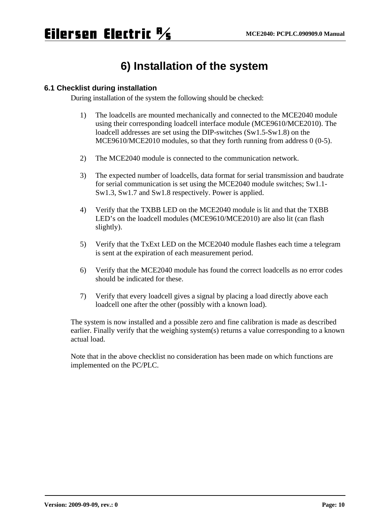### **6) Installation of the system**

### **6.1 Checklist during installation**

During installation of the system the following should be checked:

- 1) The loadcells are mounted mechanically and connected to the MCE2040 module using their corresponding loadcell interface module (MCE9610/MCE2010). The loadcell addresses are set using the DIP-switches (Sw1.5-Sw1.8) on the MCE9610/MCE2010 modules, so that they forth running from address 0 (0-5).
- 2) The MCE2040 module is connected to the communication network.
- 3) The expected number of loadcells, data format for serial transmission and baudrate for serial communication is set using the MCE2040 module switches; Sw1.1- Sw1.3, Sw1.7 and Sw1.8 respectively. Power is applied.
- 4) Verify that the TXBB LED on the MCE2040 module is lit and that the TXBB LED's on the loadcell modules (MCE9610/MCE2010) are also lit (can flash slightly).
- 5) Verify that the TxExt LED on the MCE2040 module flashes each time a telegram is sent at the expiration of each measurement period.
- 6) Verify that the MCE2040 module has found the correct loadcells as no error codes should be indicated for these.
- 7) Verify that every loadcell gives a signal by placing a load directly above each loadcell one after the other (possibly with a known load).

The system is now installed and a possible zero and fine calibration is made as described earlier. Finally verify that the weighing system(s) returns a value corresponding to a known actual load.

Note that in the above checklist no consideration has been made on which functions are implemented on the PC/PLC.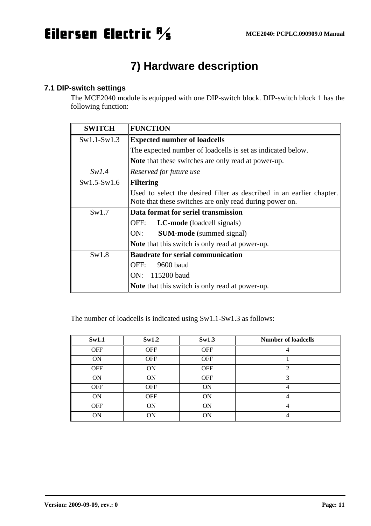## **7) Hardware description**

### **7.1 DIP-switch settings**

The MCE2040 module is equipped with one DIP-switch block. DIP-switch block 1 has the following function:

| <b>SWITCH</b> | <b>FUNCTION</b>                                                       |  |  |
|---------------|-----------------------------------------------------------------------|--|--|
| $Sw1.1-Sw1.3$ | <b>Expected number of loadcells</b>                                   |  |  |
|               | The expected number of loadcells is set as indicated below.           |  |  |
|               | <b>Note</b> that these switches are only read at power-up.            |  |  |
| Sw1.4         | Reserved for future use                                               |  |  |
| $Sw1.5-Sw1.6$ | <b>Filtering</b>                                                      |  |  |
|               | Used to select the desired filter as described in an earlier chapter. |  |  |
|               | Note that these switches are only read during power on.               |  |  |
| Sw1.7         | Data format for seriel transmission                                   |  |  |
|               | OFF:<br><b>LC-mode</b> (loadcell signals)                             |  |  |
|               | ON:<br><b>SUM-mode</b> (summed signal)                                |  |  |
|               | Note that this switch is only read at power-up.                       |  |  |
| Sw1.8         | <b>Baudrate for serial communication</b>                              |  |  |
|               | OFF:<br>9600 baud                                                     |  |  |
|               | 115200 baud<br>ON:                                                    |  |  |
|               | <b>Note</b> that this switch is only read at power-up.                |  |  |

The number of loadcells is indicated using Sw1.1-Sw1.3 as follows:

| Sw1.1      | Sw1.2      | Sw1.3      | <b>Number of loadcells</b> |
|------------|------------|------------|----------------------------|
| <b>OFF</b> | <b>OFF</b> | <b>OFF</b> |                            |
| <b>ON</b>  | <b>OFF</b> | <b>OFF</b> |                            |
| <b>OFF</b> | <b>ON</b>  | <b>OFF</b> | $\mathfrak{D}$             |
| <b>ON</b>  | <b>ON</b>  | <b>OFF</b> |                            |
| <b>OFF</b> | <b>OFF</b> | <b>ON</b>  | 4                          |
| <b>ON</b>  | <b>OFF</b> | <b>ON</b>  | 4                          |
| <b>OFF</b> | <b>ON</b>  | <b>ON</b>  | 4                          |
| <b>ON</b>  | <b>ON</b>  | <b>ON</b>  | 4                          |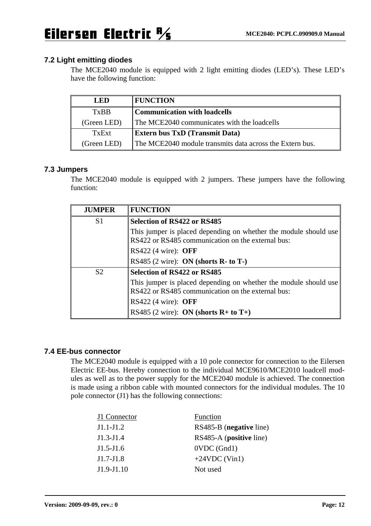### **7.2 Light emitting diodes**

The MCE2040 module is equipped with 2 light emitting diodes (LED's). These LED's have the following function:

| <b>LED</b>  | <b>FUNCTION</b>                                          |
|-------------|----------------------------------------------------------|
| <b>TxBB</b> | Communication with loadcells                             |
| (Green LED) | The MCE2040 communicates with the loadcells              |
| TxExt       | <b>Extern bus TxD (Transmit Data)</b>                    |
| (Green LED) | The MCE2040 module transmits data across the Extern bus. |

### **7.3 Jumpers**

The MCE2040 module is equipped with 2 jumpers. These jumpers have the following function:

| <b>JUMPER</b>  | <b>FUNCTION</b>                                                                                                       |
|----------------|-----------------------------------------------------------------------------------------------------------------------|
| S <sub>1</sub> | <b>Selection of RS422 or RS485</b>                                                                                    |
|                | This jumper is placed depending on whether the module should use<br>RS422 or RS485 communication on the external bus: |
|                | RS422 $(4 \text{ wire})$ : OFF                                                                                        |
|                | RS485 $(2 \text{ wire})$ : ON (shorts R- to T-)                                                                       |
| S <sub>2</sub> | Selection of RS422 or RS485                                                                                           |
|                | This jumper is placed depending on whether the module should use<br>RS422 or RS485 communication on the external bus: |
|                | RS422 $(4 \text{ wire})$ : OFF                                                                                        |
|                | RS485 (2 wire): ON (shorts $R+$ to $T+$ )                                                                             |

### **7.4 EE-bus connector**

The MCE2040 module is equipped with a 10 pole connector for connection to the Eilersen Electric EE-bus. Hereby connection to the individual MCE9610/MCE2010 loadcell modules as well as to the power supply for the MCE2040 module is achieved. The connection is made using a ribbon cable with mounted connectors for the individual modules. The 10 pole connector (J1) has the following connections:

| J1 Connector | Function                |
|--------------|-------------------------|
| $J1.1-J1.2$  | RS485-B (negative line) |
| $J1.3-J1.4$  | RS485-A (positive line) |
| $J1.5-J1.6$  | $OVDC$ (Gnd1)           |
| $J1.7-J1.8$  | $+24VDC$ (Vin1)         |
| $J1.9-J1.10$ | Not used                |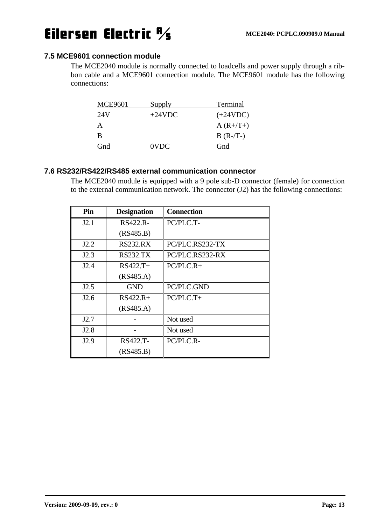### **7.5 MCE9601 connection module**

The MCE2040 module is normally connected to loadcells and power supply through a ribbon cable and a MCE9601 connection module. The MCE9601 module has the following connections:

| <b>MCE9601</b> | Supply   | Terminal   |
|----------------|----------|------------|
| 24V            | $+24VDC$ | $(+24VDC)$ |
| А              |          | $A(R+/T+)$ |
| B              |          | $B(R-T-)$  |
| Gnd            | 0VDC     | Gnd        |

### **7.6 RS232/RS422/RS485 external communication connector**

The MCE2040 module is equipped with a 9 pole sub-D connector (female) for connection to the external communication network. The connector (J2) has the following connections:

| Pin              | <b>Designation</b> | <b>Connection</b> |
|------------------|--------------------|-------------------|
| J2.1             | RS422.R-           | PC/PLC.T-         |
|                  | (RS485.B)          |                   |
| J2.2             | <b>RS232.RX</b>    | PC/PLC.RS232-TX   |
| J2.3             | <b>RS232.TX</b>    | PC/PLC.RS232-RX   |
| J2.4             | $RS422.T+$         | $PC/PLC.R+$       |
|                  | (RS485.A)          |                   |
| J2.5             | <b>GND</b>         | PC/PLC.GND        |
| J2.6             | $RS422.R+$         | $PC/PLC.T+$       |
|                  | (RS485.A)          |                   |
| J2.7             |                    | Not used          |
| J <sub>2.8</sub> |                    | Not used          |
| J2.9             | RS422.T-           | PC/PLC.R-         |
|                  | (RS485.B)          |                   |